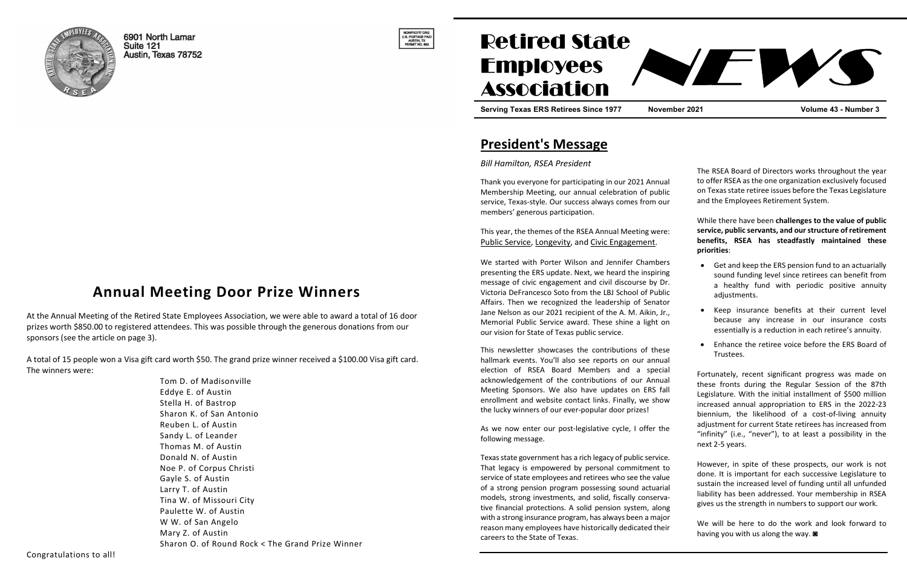

6901 North Lamar Suite 121 Austin, Texas 78752



# **Retired State Employees Association**

Serving Texas ERS Retirees Since 1977 November 2021 Volume 43 - Number 3

## President's Message

Bill Hamilton, RSEA President

Thank you everyone for participating in our 2021 Annual Membership Meeting, our annual celebration of publ service, Texas-style. Our success always comes from our members' generous participation.

This year, the themes of the RSEA Annual Meeting were Public Service, Longevity, and Civic Engagement.

We started with Porter Wilson and Jennifer Chamber presenting the ERS update. Next, we heard the inspiring message of civic engagement and civil discourse by D Victoria DeFrancesco Soto from the LBJ School of Publi Affairs. Then we recognized the leadership of Senato Jane Nelson as our 2021 recipient of the A. M. Aikin, Jr. Memorial Public Service award. These shine a light on our vision for State of Texas public service.

This newsletter showcases the contributions of thes hallmark events. You'll also see reports on our annual election of RSEA Board Members and a special acknowledgement of the contributions of our Annua Meeting Sponsors. We also have updates on ERS fa enrollment and website contact links. Finally, we show the lucky winners of our ever-popular door prizes!

As we now enter our post-legislative cycle, I offer the following message.

Texas state government has a rich legacy of public service. That legacy is empowered by personal commitment service of state employees and retirees who see the value of a strong pension program possessing sound actuarial models, strong investments, and solid, fiscally conserva tive financial protections. A solid pension system, along with a strong insurance program, has always been a major reason many employees have historically dedicated their careers to the State of Texas.

| al<br>ic<br>٦r                   | The RSEA Board of Directors works throughout the year<br>to offer RSEA as the one organization exclusively focused<br>on Texas state retiree issues before the Texas Legislature<br>and the Employees Retirement System.                                                                                                                                                                                                                 |
|----------------------------------|------------------------------------------------------------------------------------------------------------------------------------------------------------------------------------------------------------------------------------------------------------------------------------------------------------------------------------------------------------------------------------------------------------------------------------------|
| e:                               | While there have been challenges to the value of public<br>service, public servants, and our structure of retirement<br>RSEA has steadfastly maintained these<br>benefits,<br>priorities:                                                                                                                                                                                                                                                |
| rs<br>١g<br>r.<br>ic             | Get and keep the ERS pension fund to an actuarially<br>sound funding level since retirees can benefit from<br>a healthy fund with periodic positive annuity<br>adjustments.                                                                                                                                                                                                                                                              |
| эr<br>٠.,<br>m                   | Keep insurance benefits at their current level<br>because any increase in our insurance<br>costs<br>essentially is a reduction in each retiree's annuity.                                                                                                                                                                                                                                                                                |
| sе<br>al                         | Enhance the retiree voice before the ERS Board of<br>Trustees.                                                                                                                                                                                                                                                                                                                                                                           |
| al<br>al<br>۱l<br>w<br>۱e        | Fortunately, recent significant progress was made on<br>these fronts during the Regular Session of the 87th<br>Legislature. With the initial installment of \$500 million<br>increased annual appropriation to ERS in the 2022-23<br>biennium, the likelihood of a cost-of-living annuity<br>adjustment for current State retirees has increased from<br>"infinity" (i.e., "never"), to at least a possibility in the<br>next 2-5 years. |
| e.<br>tο<br>ıe<br>al<br>а-<br>١g | However, in spite of these prospects, our work is not<br>done. It is important for each successive Legislature to<br>sustain the increased level of funding until all unfunded<br>liability has been addressed. Your membership in RSEA<br>gives us the strength in numbers to support our work.                                                                                                                                         |
| эr<br>١ir                        | We will be here to do the work and look forward to                                                                                                                                                                                                                                                                                                                                                                                       |

having you with us along the way. ◙

## Annual Meeting Door Prize Winners

At the Annual Meeting of the Retired State Employees Association, we were able to award a total of 16 door prizes worth \$850.00 to registered attendees. This was possible through the generous donations from our sponsors (see the article on page 3).

A total of 15 people won a Visa gift card worth \$50. The grand prize winner received a \$100.00 Visa gift card. The winners were:

> Tom D. of Madisonville Eddye E. of Austin Stella H. of Bastrop Sharon K. of San Antonio Reuben L. of Austin Sandy L. of Leander Thomas M. of Austin Donald N. of Austin Noe P. of Corpus Christi Gayle S. of Austin Larry T. of Austin Tina W. of Missouri City Paulette W. of Austin W W. of San Angelo Mary Z. of Austin Sharon O. of Round Rock < The Grand Prize Winner

EM